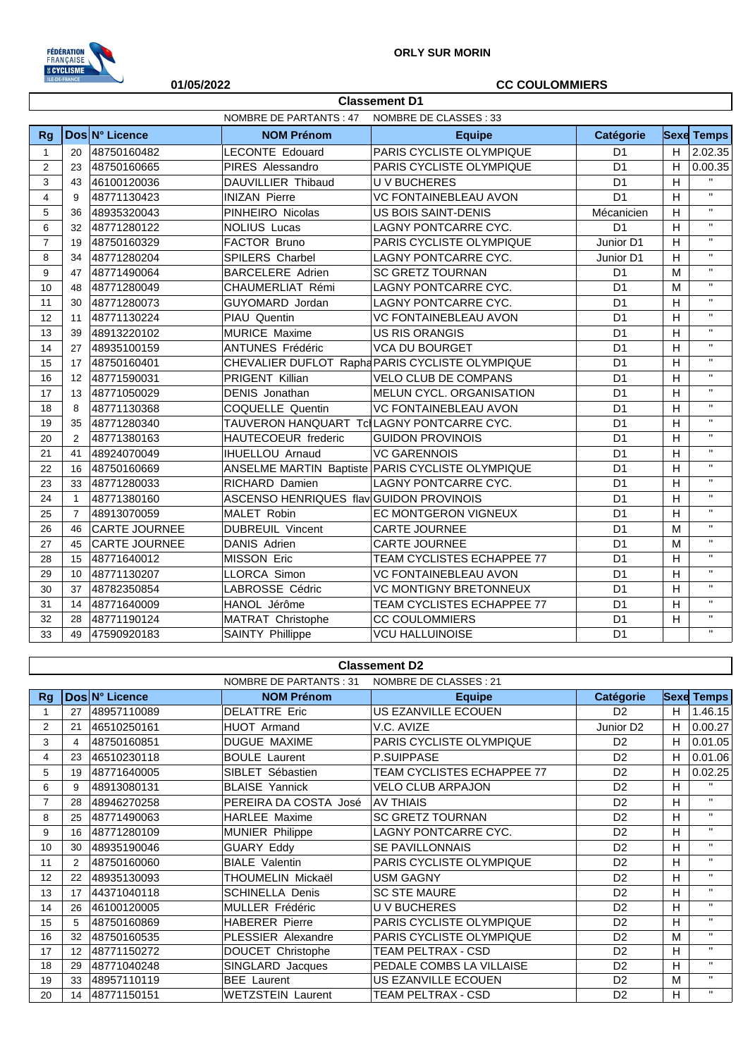

## **01/05/2022 CC COULOMMIERS**

|                |                 |                      | NOMBRE DE PARTANTS : 47                   | NOMBRE DE CLASSES : 33                           |                |                |                    |
|----------------|-----------------|----------------------|-------------------------------------------|--------------------------------------------------|----------------|----------------|--------------------|
| <b>Rg</b>      |                 | Dos N° Licence       | <b>NOM Prénom</b>                         | <b>Equipe</b>                                    | Catégorie      |                | <b>Sexe Temps</b>  |
| $\mathbf{1}$   | 20              | 48750160482          | <b>LECONTE Edouard</b>                    | PARIS CYCLISTE OLYMPIQUE                         | D <sub>1</sub> | H              | 2.02.35            |
| 2              | 23              | 48750160665          | PIRES Alessandro                          | PARIS CYCLISTE OLYMPIQUE                         | D <sub>1</sub> | H              | 0.00.35            |
| 3              | 43              | 46100120036          | DAUVILLIER Thibaud                        | U V BUCHERES                                     | D <sub>1</sub> | H              |                    |
| $\overline{4}$ | 9               | 48771130423          | <b>INIZAN Pierre</b>                      | <b>VC FONTAINEBLEAU AVON</b>                     | D <sub>1</sub> | H              | $\mathbf{H}$       |
| 5              | 36              | 48935320043          | PINHEIRO Nicolas                          | US BOIS SAINT-DENIS                              | Mécanicien     | H              | $\mathbf{H}$       |
| 6              | 32              | 48771280122          | <b>NOLIUS Lucas</b>                       | LAGNY PONTCARRE CYC.                             | D <sub>1</sub> | H              | $\mathbf{H}$       |
| $\overline{7}$ | 19              | 48750160329          | FACTOR Bruno                              | PARIS CYCLISTE OLYMPIQUE                         | Junior D1      | H              | $\bar{\mathbf{H}}$ |
| 8              | 34              | 48771280204          | SPILERS Charbel                           | LAGNY PONTCARRE CYC.                             | Junior D1      | H              | $\mathbf{H}$       |
| 9              | 47              | 48771490064          | <b>BARCELERE</b> Adrien                   | <b>SC GRETZ TOURNAN</b>                          | D <sub>1</sub> | M              | $\mathbf{H}$       |
| 10             | 48              | 48771280049          | CHAUMERLIAT Rémi                          | LAGNY PONTCARRE CYC.                             | D <sub>1</sub> | M              | $\mathbf{H}$       |
| 11             | 30              | 48771280073          | GUYOMARD Jordan                           | LAGNY PONTCARRE CYC.                             | D <sub>1</sub> | H              | $\mathbf{H}$       |
| 12             | 11              | 48771130224          | PIAU Quentin                              | VC FONTAINEBLEAU AVON                            | D <sub>1</sub> | H              | $\bar{\mathbf{H}}$ |
| 13             | 39              | 48913220102          | <b>MURICE Maxime</b>                      | <b>US RIS ORANGIS</b>                            | D <sub>1</sub> | H              | $\mathbf{H}$       |
| 14             | 27              | 48935100159          | ANTUNES Frédéric                          | <b>VCA DU BOURGET</b>                            | D <sub>1</sub> | H              | $\mathbf{H}$       |
| 15             | 17              | 48750160401          |                                           | CHEVALIER DUFLOT Rapha PARIS CYCLISTE OLYMPIQUE  | D <sub>1</sub> | Η              | $\mathbf{H}$       |
| 16             | 12              | 48771590031          | PRIGENT Killian                           | <b>VELO CLUB DE COMPANS</b>                      | D <sub>1</sub> | $\overline{H}$ | $\bar{\mathbf{H}}$ |
| 17             | 13              | 48771050029          | DENIS Jonathan                            | MELUN CYCL. ORGANISATION                         | D <sub>1</sub> | H              | $\mathbf{u}$       |
| 18             | 8               | 48771130368          | COQUELLE Quentin                          | <b>VC FONTAINEBLEAU AVON</b>                     | D <sub>1</sub> | H              | $\mathbf{H}$       |
| 19             | 35              | 48771280340          | TAUVERON HANQUART Td LAGNY PONTCARRE CYC. |                                                  | D <sub>1</sub> | H              | $\mathbf{H}$       |
| 20             | $\overline{2}$  | 48771380163          | HAUTECOEUR frederic                       | <b>GUIDON PROVINOIS</b>                          | D <sub>1</sub> | H              | $\mathbf{H}$       |
| 21             | 41              | 48924070049          | <b>IHUELLOU Arnaud</b>                    | <b>VC GARENNOIS</b>                              | D <sub>1</sub> | H              | $\mathbf{H}$       |
| 22             | 16              | 48750160669          |                                           | ANSELME MARTIN Baptiste PARIS CYCLISTE OLYMPIQUE | D <sub>1</sub> | H              | $\mathbf{H}$       |
| 23             | 33              | 48771280033          | RICHARD Damien                            | LAGNY PONTCARRE CYC.                             | D <sub>1</sub> | H              | $\mathbf{H}$       |
| 24             | $\mathbf{1}$    | 48771380160          | ASCENSO HENRIQUES flav GUIDON PROVINOIS   |                                                  | D <sub>1</sub> | Η              | $\mathbf{H}$       |
| 25             | $\overline{7}$  | 48913070059          | MALET Robin                               | EC MONTGERON VIGNEUX                             | D <sub>1</sub> | H              | $\mathbf{H}$       |
| 26             | 46              | <b>CARTE JOURNEE</b> | <b>DUBREUIL Vincent</b>                   | <b>CARTE JOURNEE</b>                             | D <sub>1</sub> | M              | $\bar{\mathbf{H}}$ |
| 27             | 45              | <b>CARTE JOURNEE</b> | DANIS Adrien                              | <b>CARTE JOURNEE</b>                             | D <sub>1</sub> | M              | $\mathbf{H}$       |
| 28             | 15              | 48771640012          | <b>MISSON Eric</b>                        | TEAM CYCLISTES ECHAPPEE 77                       | D <sub>1</sub> | H              | $\bar{\mathbf{H}}$ |
| 29             | 10 <sup>1</sup> | 48771130207          | <b>LLORCA Simon</b>                       | <b>VC FONTAINEBLEAU AVON</b>                     | D <sub>1</sub> | H              | $\mathbf{H}$       |
| 30             | 37              | 48782350854          | LABROSSE Cédric                           | <b>VC MONTIGNY BRETONNEUX</b>                    | D <sub>1</sub> | H              | $\bar{\mathbf{H}}$ |
| 31             | 14              | 48771640009          | HANOL Jérôme                              | TEAM CYCLISTES ECHAPPEE 77                       | D <sub>1</sub> | H              | $\mathbf{H}$       |
| 32             | 28              | 48771190124          | MATRAT Christophe                         | <b>CC COULOMMIERS</b>                            | D <sub>1</sub> | H              | $\mathbf{H}$       |
| 33             | 49              | 47590920183          | <b>SAINTY Phillippe</b>                   | <b>VCU HALLUINOISE</b>                           | D <sub>1</sub> |                | $\mathbf{H}$       |

**Classement D1**

## **Classement D2**

|                |                |                | NOMBRE DE PARTANTS : 31   | NOMBRE DE CLASSES : 21            |                       |    |                   |
|----------------|----------------|----------------|---------------------------|-----------------------------------|-----------------------|----|-------------------|
| Rg             |                | Dos N° Licence | <b>NOM Prénom</b>         | <b>Equipe</b>                     | <b>Catégorie</b>      |    | <b>Sexe Temps</b> |
|                | 27             | 48957110089    | <b>DELATTRE Eric</b>      | US EZANVILLE ECOUEN               | D <sub>2</sub>        | H. | 1.46.15           |
| $\overline{2}$ | 21             | 46510250161    | <b>HUOT Armand</b>        | V.C. AVIZE                        | Junior D <sub>2</sub> | H. | 0.00.27           |
| 3              | 4              | 48750160851    | <b>DUGUE MAXIME</b>       | PARIS CYCLISTE OLYMPIQUE          | D <sub>2</sub>        | H  | 0.01.05           |
| 4              | 23             | 46510230118    | <b>BOULE Laurent</b>      | P.SUIPPASE                        | D <sub>2</sub>        | H  | 0.01.06           |
| 5              | 19             | 48771640005    | SIBLET Sébastien          | <b>TEAM CYCLISTES ECHAPPEE 77</b> | D <sub>2</sub>        | H. | 0.02.25           |
| 6              | 9              | 48913080131    | <b>BLAISE Yannick</b>     | <b>VELO CLUB ARPAJON</b>          | D <sub>2</sub>        | H  | $\mathbf{H}$      |
| $\overline{7}$ | 28             | 48946270258    | PEREIRA DA COSTA José     | <b>AV THIAIS</b>                  | D <sub>2</sub>        | H  | $\mathbf{H}$      |
| 8              | 25             | 48771490063    | <b>HARLEE Maxime</b>      | <b>SC GRETZ TOURNAN</b>           | D <sub>2</sub>        | H  | $\mathbf{H}$      |
| 9              | 16             | 48771280109    | <b>MUNIER Philippe</b>    | LAGNY PONTCARRE CYC.              | D <sub>2</sub>        | H  | $\mathbf{H}$      |
| 10             | 30             | 48935190046    | <b>GUARY Eddy</b>         | <b>SE PAVILLONNAIS</b>            | D <sub>2</sub>        | H  | $\mathbf{H}$      |
| 11             | $\overline{2}$ | 48750160060    | <b>BIALE Valentin</b>     | PARIS CYCLISTE OLYMPIQUE          | D <sub>2</sub>        | H  | $\mathbf{H}$      |
| 12             | 22             | 48935130093    | THOUMELIN Mickaël         | <b>USM GAGNY</b>                  | D <sub>2</sub>        | H  | $\mathbf{H}$      |
| 13             | 17             | 44371040118    | <b>SCHINELLA Denis</b>    | <b>SC STE MAURE</b>               | D <sub>2</sub>        | H  | $\mathbf{H}$      |
| 14             | 26             | 46100120005    | MULLER Frédéric           | <b>UV BUCHERES</b>                | D <sub>2</sub>        | H  | $\mathbf{H}$      |
| 15             | 5              | 48750160869    | <b>HABERER Pierre</b>     | PARIS CYCLISTE OLYMPIQUE          | D <sub>2</sub>        | H  | $\mathbf{H}$      |
| 16             | 32             | 48750160535    | <b>PLESSIER Alexandre</b> | PARIS CYCLISTE OLYMPIQUE          | D <sub>2</sub>        | M  | $\mathbf{H}$      |
| 17             | 12             | 48771150272    | DOUCET Christophe         | TEAM PELTRAX - CSD                | D <sub>2</sub>        | H  | $\mathbf{H}$      |
| 18             | 29             | 48771040248    | SINGLARD Jacques          | PEDALE COMBS LA VILLAISE          | D <sub>2</sub>        | H  | $\mathbf{H}$      |
| 19             | 33             | 48957110119    | <b>BEE</b> Laurent        | US EZANVILLE ECOUEN               | D <sub>2</sub>        | M  | $\mathbf{H}$      |
| 20             | 14             | 48771150151    | <b>WETZSTEIN Laurent</b>  | TEAM PELTRAX - CSD                | D <sub>2</sub>        | H  | $\mathbf{H}$      |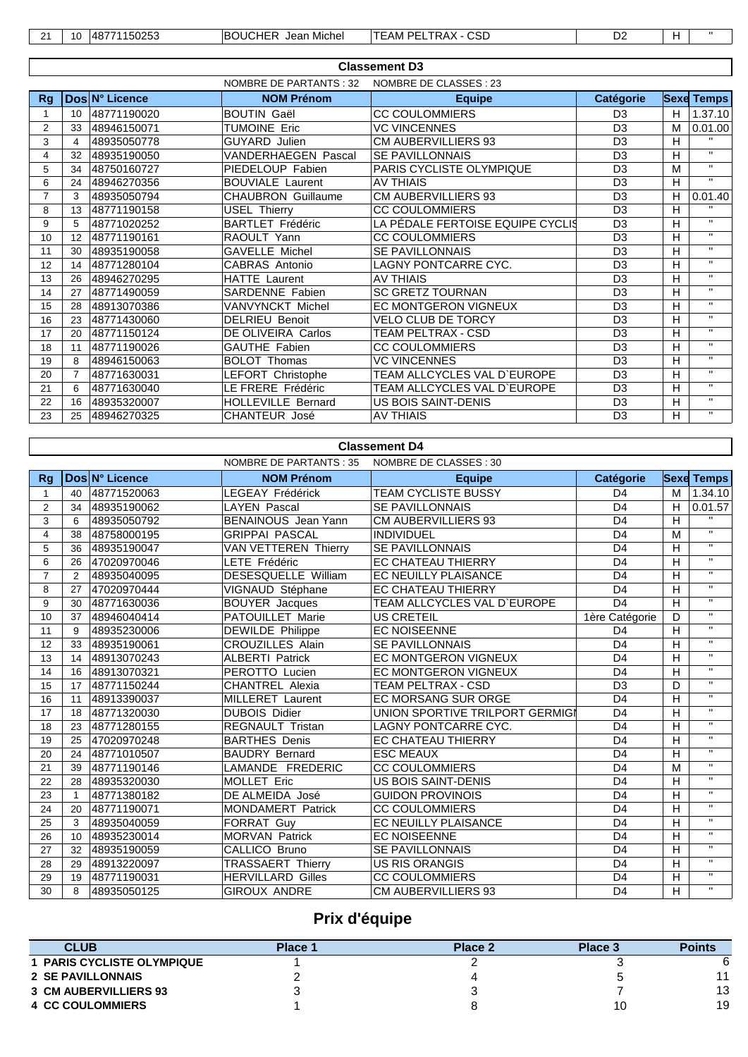| $\mathbf{A}$<br>- | 1 C<br>ιч. | したへつた<br>. א<br>$\sim$<br><b>JUZJJ</b><br>. . | .<br>, IEE<br><b>IBOUCHE</b><br>Michel<br>Jean | con<br>.<br>DE<br>. .<br>I EAM<br>◡<br>∪ວ⊔<br>் டட<br><b>NAV</b><br>___ | r.<br>⊃∠ |  |
|-------------------|------------|-----------------------------------------------|------------------------------------------------|-------------------------------------------------------------------------|----------|--|

|                | <b>Classement D3</b> |                |                           |                                  |                  |   |                   |  |  |
|----------------|----------------------|----------------|---------------------------|----------------------------------|------------------|---|-------------------|--|--|
|                |                      |                | NOMBRE DE PARTANTS : 32   | NOMBRE DE CLASSES : 23           |                  |   |                   |  |  |
| Rg             |                      | Dos N° Licence | <b>NOM Prénom</b>         | <b>Equipe</b>                    | <b>Catégorie</b> |   | <b>Sexe Temps</b> |  |  |
|                | 10 <sup>°</sup>      | 48771190020    | <b>BOUTIN Gaël</b>        | <b>CC COULOMMIERS</b>            | D <sub>3</sub>   | H | 1.37.10           |  |  |
| 2              | 33                   | 48946150071    | <b>TUMOINE Eric</b>       | <b>VC VINCENNES</b>              | D <sub>3</sub>   | M | 0.01.00           |  |  |
| 3              | 4                    | 48935050778    | <b>GUYARD Julien</b>      | <b>CM AUBERVILLIERS 93</b>       | D <sub>3</sub>   | H | $\mathbf{H}$      |  |  |
| 4              | 32                   | 48935190050    | VANDERHAEGEN Pascal       | <b>SE PAVILLONNAIS</b>           | D <sub>3</sub>   | н | $\mathbf{H}$      |  |  |
| 5              | 34                   | 48750160727    | PIEDELOUP Fabien          | PARIS CYCLISTE OLYMPIQUE         | D <sub>3</sub>   | M | $\mathbf{H}$      |  |  |
| 6              | 24                   | 48946270356    | <b>BOUVIALE Laurent</b>   | <b>AV THIAIS</b>                 | D <sub>3</sub>   | H | $\mathbf{H}$      |  |  |
| $\overline{7}$ | 3                    | 48935050794    | <b>CHAUBRON Guillaume</b> | <b>CM AUBERVILLIERS 93</b>       | D <sub>3</sub>   | н | 0.01.40           |  |  |
| 8              | 13                   | 48771190158    | <b>USEL Thierry</b>       | <b>CC COULOMMIERS</b>            | D <sub>3</sub>   | H | $\mathbf{H}$      |  |  |
| 9              | 5                    | 48771020252    | <b>BARTLET Frédéric</b>   | LA PÉDALE FERTOISE EQUIPE CYCLIS | D <sub>3</sub>   | H | $\mathbf{H}$      |  |  |
| 10             | 12                   | 48771190161    | RAOULT Yann               | <b>CC COULOMMIERS</b>            | D <sub>3</sub>   | н | $\mathbf{H}$      |  |  |
| 11             | 30                   | 48935190058    | <b>GAVELLE Michel</b>     | <b>SE PAVILLONNAIS</b>           | D <sub>3</sub>   | н | $\mathbf{H}$      |  |  |
| 12             | 14                   | 48771280104    | CABRAS Antonio            | LAGNY PONTCARRE CYC.             | D <sub>3</sub>   | н | $\mathbf{H}$      |  |  |
| 13             | 26                   | 48946270295    | <b>HATTE Laurent</b>      | AV THIAIS                        | D <sub>3</sub>   | н | $\mathbf{H}$      |  |  |
| 14             | 27                   | 48771490059    | SARDENNE Fabien           | <b>SC GRETZ TOURNAN</b>          | D <sub>3</sub>   | H | $\mathbf{H}$      |  |  |
| 15             | 28                   | 48913070386    | VANVYNCKT Michel          | <b>EC MONTGERON VIGNEUX</b>      | D <sub>3</sub>   | н | $\mathbf{H}$      |  |  |
| 16             | 23                   | 48771430060    | <b>DELRIEU Benoit</b>     | <b>VELO CLUB DE TORCY</b>        | D <sub>3</sub>   | H | $\mathbf{H}$      |  |  |
| 17             | 20                   | 48771150124    | DE OLIVEIRA Carlos        | TEAM PELTRAX - CSD               | D <sub>3</sub>   | H | $\mathbf{H}$      |  |  |
| 18             | 11                   | 48771190026    | <b>GAUTHE Fabien</b>      | <b>CC COULOMMIERS</b>            | D <sub>3</sub>   | Н | $\mathbf{H}$      |  |  |
| 19             | 8                    | 48946150063    | <b>BOLOT Thomas</b>       | <b>VC VINCENNES</b>              | $\overline{D3}$  | H | $\mathbf{H}$      |  |  |
| 20             | $\overline{7}$       | 48771630031    | LEFORT Christophe         | TEAM ALLCYCLES VAL D`EUROPE      | D <sub>3</sub>   | н | $\mathbf{H}$      |  |  |
| 21             | 6                    | 48771630040    | LE FRERE Frédéric         | TEAM ALLCYCLES VAL D`EUROPE      | D <sub>3</sub>   | н | $\mathbf{H}$      |  |  |
| 22             | 16                   | 48935320007    | <b>HOLLEVILLE Bernard</b> | US BOIS SAINT-DENIS              | D <sub>3</sub>   | н | $\mathbf{H}$      |  |  |
| 23             | 25                   | 48946270325    | <b>CHANTEUR José</b>      | <b>AV THIAIS</b>                 | D <sub>3</sub>   | н | $\mathbf{H}$      |  |  |

## **Classement D4**

 $\mathsf{l}$ 

|                |              |                | NOMBRE DE PARTANTS : 35    | NOMBRE DE CLASSES : 30          |                |                |                         |
|----------------|--------------|----------------|----------------------------|---------------------------------|----------------|----------------|-------------------------|
| <b>Rg</b>      |              | Dos N° Licence | <b>NOM Prénom</b>          | <b>Equipe</b>                   | Catégorie      |                | <b>Sexe Temps</b>       |
| 1              | 40           | 48771520063    | <b>LEGEAY Frédérick</b>    | <b>TEAM CYCLISTE BUSSY</b>      | D <sub>4</sub> | M              | 1.34.10                 |
| 2              | 34           | 48935190062    | <b>LAYEN</b> Pascal        | <b>SE PAVILLONNAIS</b>          | D <sub>4</sub> | H              | 0.01.57                 |
| 3              | 6            | 48935050792    | BENAINOUS Jean Yann        | <b>CM AUBERVILLIERS 93</b>      | D <sub>4</sub> | H              | $\overline{u}$          |
| $\overline{4}$ | 38           | 48758000195    | <b>GRIPPAI PASCAL</b>      | INDIVIDUEL                      | D <sub>4</sub> | M              | $\overline{u}$          |
| 5              | 36           | 48935190047    | VAN VETTEREN Thierry       | <b>SE PAVILLONNAIS</b>          | D <sub>4</sub> | H              | $\mathbf{H}$            |
| 6              | 26           | 47020970046    | <b>LETE Frédéric</b>       | <b>EC CHATEAU THIERRY</b>       | D <sub>4</sub> | $\overline{H}$ | $\overline{u}$          |
| $\overline{7}$ | 2            | 48935040095    | <b>DESESQUELLE William</b> | EC NEUILLY PLAISANCE            | D <sub>4</sub> | H              | $\mathbf{H}$            |
| 8              | 27           | 47020970444    | VIGNAUD Stéphane           | EC CHATEAU THIERRY              | D <sub>4</sub> | H              | $\mathbf{H}$            |
| 9              | 30           | 48771630036    | <b>BOUYER Jacques</b>      | TEAM ALLCYCLES VAL D'EUROPE     | D <sub>4</sub> | H              | $\mathbf{H}$            |
| 10             | 37           | 48946040414    | PATOUILLET Marie           | <b>US CRETEIL</b>               | 1ère Catégorie | D              | $\overline{u}$          |
| 11             | 9            | 48935230006    | <b>DEWILDE Philippe</b>    | <b>EC NOISEENNE</b>             | D <sub>4</sub> | H              | $\overline{w}$          |
| 12             | 33           | 48935190061    | <b>CROUZILLES Alain</b>    | SE PAVILLONNAIS                 | D <sub>4</sub> | $\overline{H}$ | $\mathbf{H}$            |
| 13             | 14           | 48913070243    | <b>ALBERTI Patrick</b>     | <b>EC MONTGERON VIGNEUX</b>     | D <sub>4</sub> | H              | $\mathbf{H}$            |
| 14             | 16           | 48913070321    | PEROTTO Lucien             | <b>EC MONTGERON VIGNEUX</b>     | D <sub>4</sub> | H              | $\mathbf{H}$            |
| 15             | 17           | 48771150244    | <b>CHANTREL Alexia</b>     | <b>TEAM PELTRAX - CSD</b>       | D <sub>3</sub> | D              | $\mathbf{H}$            |
| 16             | 11           | 48913390037    | <b>MILLERET Laurent</b>    | <b>EC MORSANG SUR ORGE</b>      | D <sub>4</sub> | H              | $\mathbf{H}$            |
| 17             | 18           | 48771320030    | <b>DUBOIS Didier</b>       | UNION SPORTIVE TRILPORT GERMIGI | D <sub>4</sub> | H              | $\mathbf{u}$            |
| 18             | 23           | 48771280155    | <b>REGNAULT Tristan</b>    | LAGNY PONTCARRE CYC.            | D <sub>4</sub> | H              | $\overline{u}$          |
| 19             | 25           | 47020970248    | <b>BARTHES Denis</b>       | <b>EC CHATEAU THIERRY</b>       | D <sub>4</sub> | H              | $\mathbf{H}$            |
| 20             | 24           | 48771010507    | <b>BAUDRY Bernard</b>      | <b>ESC MEAUX</b>                | D <sub>4</sub> | H              | $\mathbf{H}$            |
| 21             | 39           | 48771190146    | LAMANDE FREDERIC           | <b>CC COULOMMIERS</b>           | D <sub>4</sub> | M              | $\overline{u}$          |
| 22             | 28           | 48935320030    | <b>MOLLET Eric</b>         | US BOIS SAINT-DENIS             | D <sub>4</sub> | H              | $\mathbf{H}$            |
| 23             | $\mathbf{1}$ | 48771380182    | DE ALMEIDA José            | <b>GUIDON PROVINOIS</b>         | D <sub>4</sub> | H              | $\mathbf{H}$            |
| 24             | 20           | 48771190071    | <b>MONDAMERT Patrick</b>   | <b>CC COULOMMIERS</b>           | D <sub>4</sub> | H              | $\overline{u}$          |
| 25             | 3            | 48935040059    | <b>FORRAT Guy</b>          | EC NEUILLY PLAISANCE            | D <sub>4</sub> | H              | $\overline{\mathbf{u}}$ |
| 26             | 10           | 48935230014    | <b>MORVAN Patrick</b>      | <b>EC NOISEENNE</b>             | D <sub>4</sub> | H              | $\mathbf{H}$            |
| 27             | 32           | 48935190059    | CALLICO Bruno              | <b>SE PAVILLONNAIS</b>          | D <sub>4</sub> | H              | $\mathbf{H}$            |
| 28             | 29           | 48913220097    | <b>TRASSAERT Thierry</b>   | <b>US RIS ORANGIS</b>           | D <sub>4</sub> | H              | $\mathbf{H}$            |
| 29             | 19           | 48771190031    | <b>HERVILLARD Gilles</b>   | <b>CC COULOMMIERS</b>           | D <sub>4</sub> | H              | $\mathbf{H}$            |
| 30             | 8            | 48935050125    | <b>GIROUX ANDRE</b>        | <b>CM AUBERVILLIERS 93</b>      | D <sub>4</sub> | $\overline{H}$ | $\mathbf{H}$            |

## **Prix d'équipe**

| <b>CLUB</b>                       | Place 1 | Place 2 | Place 3 | <b>Points</b> |
|-----------------------------------|---------|---------|---------|---------------|
| <b>1 PARIS CYCLISTE OLYMPIQUE</b> |         |         |         |               |
| <b>2 SE PAVILLONNAIS</b>          |         |         |         | 44            |
| <b>3 CM AUBERVILLIERS 93</b>      | ັ       |         |         | 13            |
| <b>4 CC COULOMMIERS</b>           |         |         |         | 19            |